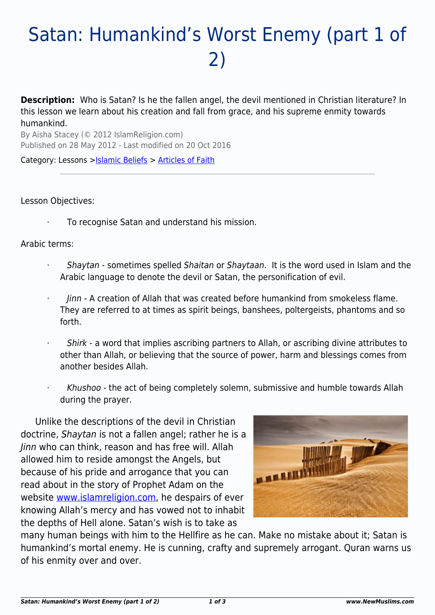# Satan: Humankind's Worst Enemy (part 1 of 2)

**Description:** Who is Satan? Is he the fallen angel, the devil mentioned in Christian literature? In this lesson we learn about his creation and fall from grace, and his supreme enmity towards humankind.

By Aisha Stacey (© 2012 IslamReligion.com) Published on 28 May 2012 - Last modified on 20 Oct 2016

Category: Lessons > Solamic Beliefs > [Articles of Faith](http://www.newmuslims.com/category/143/)

#### Lesson Objectives:

To recognise Satan and understand his mission.

#### Arabic terms:

- · Shaytan sometimes spelled Shaitan or Shaytaan. It is the word used in Islam and the Arabic language to denote the devil or Satan, the personification of evil.
- · Jinn A creation of Allah that was created before humankind from smokeless flame. They are referred to at times as spirit beings, banshees, poltergeists, phantoms and so forth.
- Shirk a word that implies ascribing partners to Allah, or ascribing divine attributes to other than Allah, or believing that the source of power, harm and blessings comes from another besides Allah.
- Khushoo the act of being completely solemn, submissive and humble towards Allah during the prayer.

Unlike the descriptions of the devil in Christian doctrine, Shaytan is not a fallen angel; rather he is a Jinn who can think, reason and has free will. Allah allowed him to reside amongst the Angels, but because of his pride and arrogance that you can read about in the story of Prophet Adam on the website [www.islamreligion.com](http://www.islamreligion.com), he despairs of ever knowing Allah's mercy and has vowed not to inhabit the depths of Hell alone. Satan's wish is to take as



many human beings with him to the Hellfire as he can. Make no mistake about it; Satan is humankind's mortal enemy. He is cunning, crafty and supremely arrogant. Quran warns us of his enmity over and over.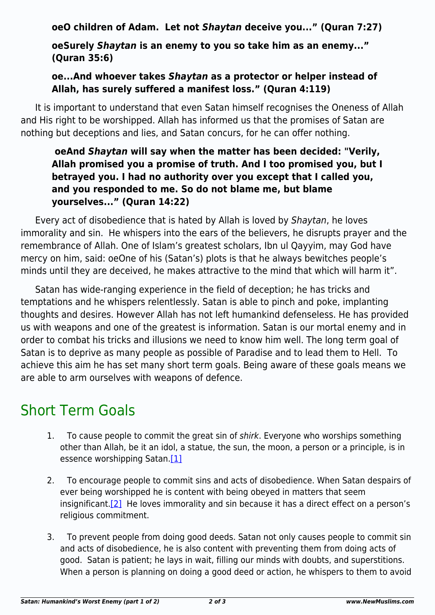**oeO children of Adam. Let not** *Shaytan* **deceive you..." (Quran 7:27)**

**oeSurely** *Shaytan* **is an enemy to you so take him as an enemy..." (Quran 35:6)**

## **oe...And whoever takes** *Shaytan* **as a protector or helper instead of Allah, has surely suffered a manifest loss." (Quran 4:119)**

It is important to understand that even Satan himself recognises the Oneness of Allah and His right to be worshipped. Allah has informed us that the promises of Satan are nothing but deceptions and lies, and Satan concurs, for he can offer nothing.

## **oeAnd** *Shaytan* **will say when the matter has been decided: "Verily, Allah promised you a promise of truth. And I too promised you, but I betrayed you. I had no authority over you except that I called you, and you responded to me. So do not blame me, but blame yourselves..." (Quran 14:22)**

Every act of disobedience that is hated by Allah is loved by Shaytan, he loves immorality and sin. He whispers into the ears of the believers, he disrupts prayer and the remembrance of Allah. One of Islam's greatest scholars, Ibn ul Qayyim, may God have mercy on him, said: oeOne of his (Satan's) plots is that he always bewitches people's minds until they are deceived, he makes attractive to the mind that which will harm it".

Satan has wide-ranging experience in the field of deception; he has tricks and temptations and he whispers relentlessly. Satan is able to pinch and poke, implanting thoughts and desires. However Allah has not left humankind defenseless. He has provided us with weapons and one of the greatest is information. Satan is our mortal enemy and in order to combat his tricks and illusions we need to know him well. The long term goal of Satan is to deprive as many people as possible of Paradise and to lead them to Hell. To achieve this aim he has set many short term goals. Being aware of these goals means we are able to arm ourselves with weapons of defence.

# Short Term Goals

- 1. To cause people to commit the great sin of shirk. Everyone who worships something other than Allah, be it an idol, a statue, the sun, the moon, a person or a principle, is in essence worshipping Satan.<sup>[\[1\]](#page-2-0)</sup>
- <span id="page-1-1"></span><span id="page-1-0"></span>2. To encourage people to commit sins and acts of disobedience. When Satan despairs of ever being worshipped he is content with being obeyed in matters that seem insignificant[.\[2\]](#page-2-1) He loves immorality and sin because it has a direct effect on a person's religious commitment.
- 3. To prevent people from doing good deeds. Satan not only causes people to commit sin and acts of disobedience, he is also content with preventing them from doing acts of good. Satan is patient; he lays in wait, filling our minds with doubts, and superstitions. When a person is planning on doing a good deed or action, he whispers to them to avoid